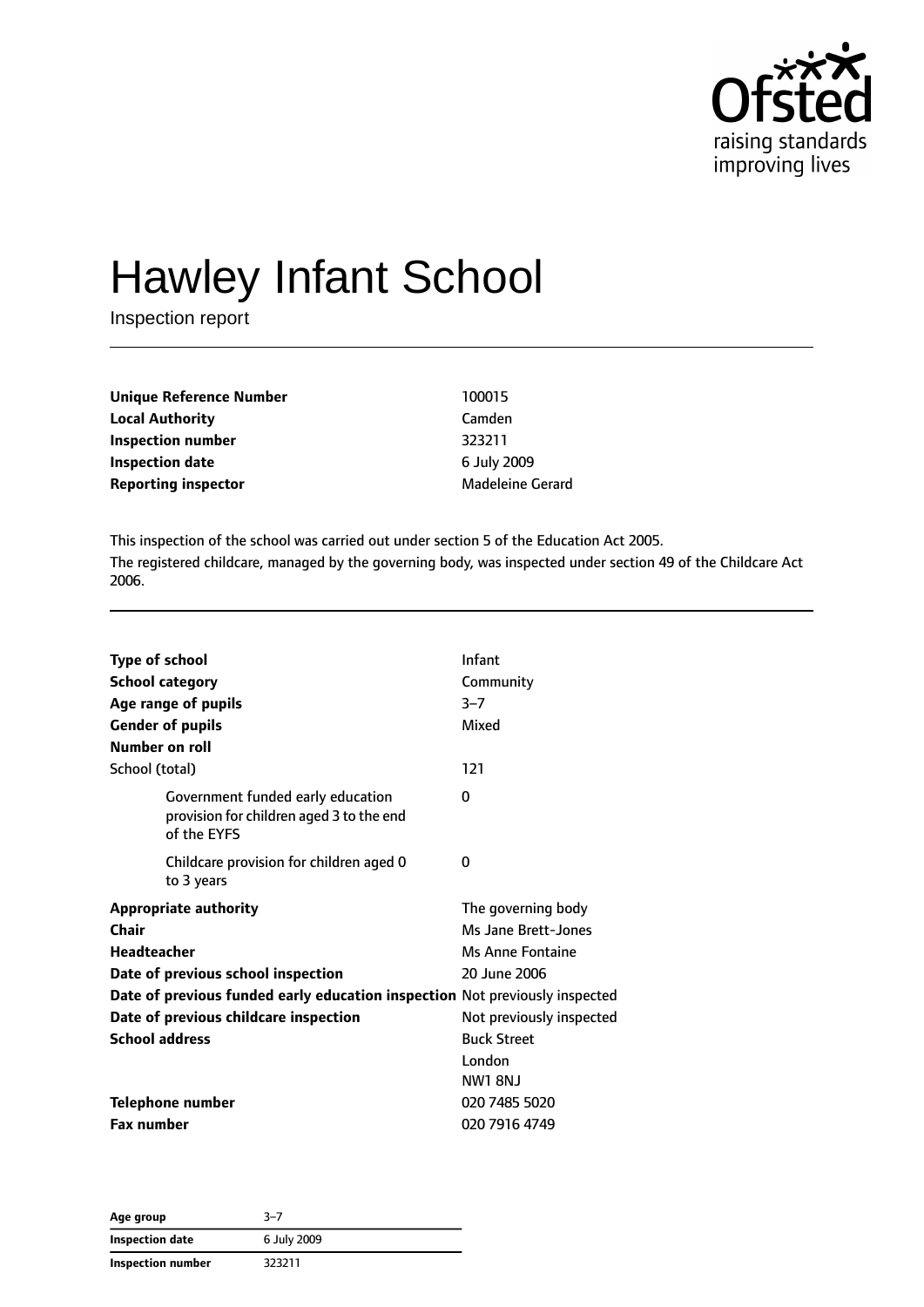

# Hawley Infant School

Inspection report

| <b>Unique Reference Number</b> | 100015                  |
|--------------------------------|-------------------------|
| <b>Local Authority</b>         | Camden                  |
| Inspection number              | 323211                  |
| <b>Inspection date</b>         | 6 July 2009             |
| <b>Reporting inspector</b>     | <b>Madeleine Gerard</b> |

This inspection of the school was carried out under section 5 of the Education Act 2005. The registered childcare, managed by the governing body, was inspected under section 49 of the Childcare Act 2006.

| <b>Type of school</b>  |                                                                                              | Infant                   |  |
|------------------------|----------------------------------------------------------------------------------------------|--------------------------|--|
| <b>School category</b> |                                                                                              | Community                |  |
|                        | Age range of pupils                                                                          | $3 - 7$                  |  |
|                        | <b>Gender of pupils</b>                                                                      | Mixed                    |  |
| Number on roll         |                                                                                              |                          |  |
| School (total)         |                                                                                              | 121                      |  |
|                        | Government funded early education<br>provision for children aged 3 to the end<br>of the EYFS | 0                        |  |
|                        | Childcare provision for children aged 0<br>to 3 years                                        | 0                        |  |
|                        | <b>Appropriate authority</b>                                                                 | The governing body       |  |
| Chair                  |                                                                                              | Ms Jane Brett-Jones      |  |
| Headteacher            |                                                                                              | <b>Ms Anne Fontaine</b>  |  |
|                        | Date of previous school inspection                                                           | 20 June 2006             |  |
|                        | Date of previous funded early education inspection Not previously inspected                  |                          |  |
|                        | Date of previous childcare inspection                                                        | Not previously inspected |  |
| <b>School address</b>  |                                                                                              | <b>Buck Street</b>       |  |
|                        |                                                                                              | London                   |  |
|                        |                                                                                              | <b>NW1 8NJ</b>           |  |
|                        | <b>Telephone number</b>                                                                      | 020 7485 5020            |  |
| <b>Fax number</b>      |                                                                                              | 020 7916 4749            |  |

| Age group         | $3 - 7$     |
|-------------------|-------------|
| Inspection date   | 6 July 2009 |
| Inspection number | 323211      |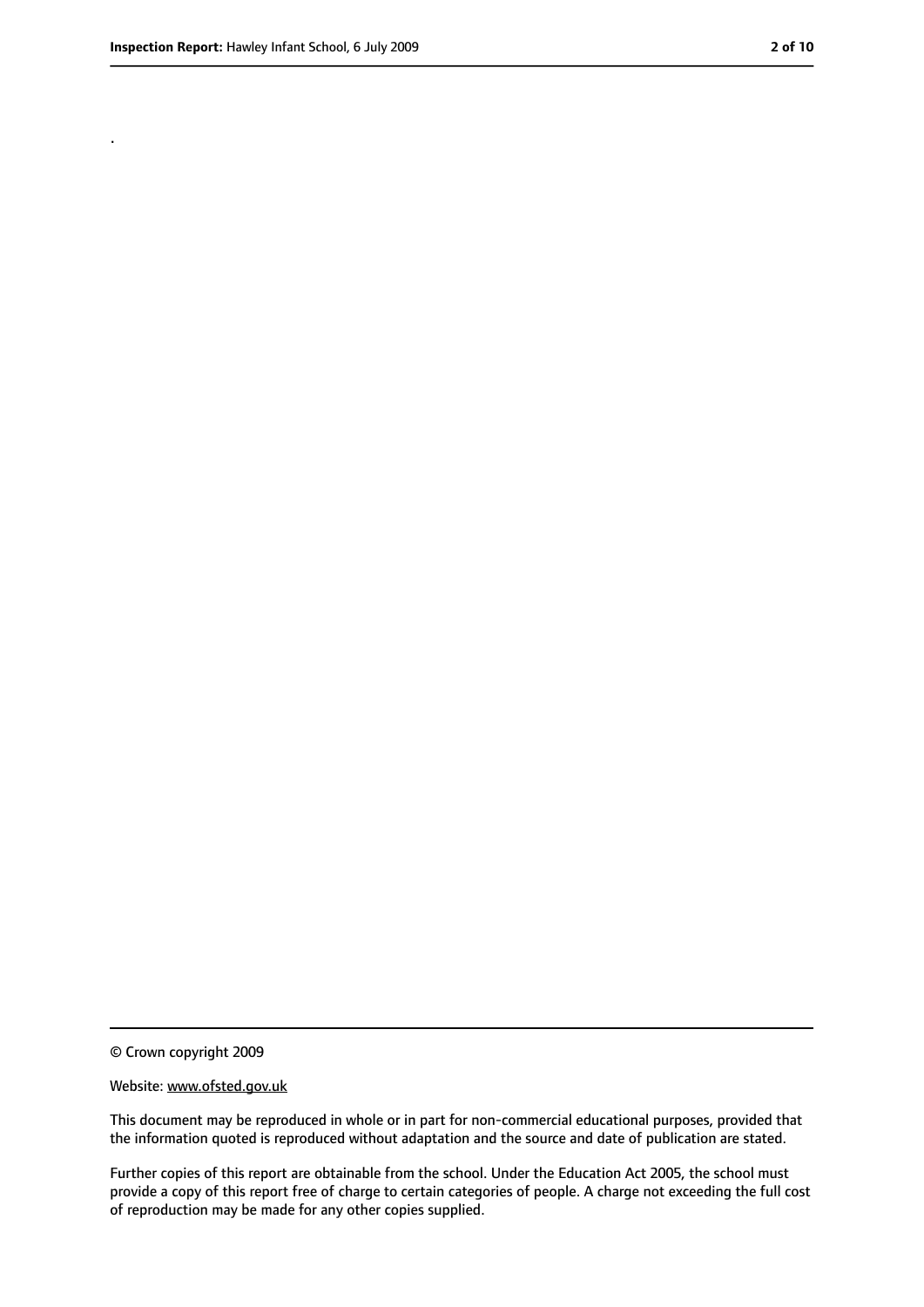.

<sup>©</sup> Crown copyright 2009

Website: www.ofsted.gov.uk

This document may be reproduced in whole or in part for non-commercial educational purposes, provided that the information quoted is reproduced without adaptation and the source and date of publication are stated.

Further copies of this report are obtainable from the school. Under the Education Act 2005, the school must provide a copy of this report free of charge to certain categories of people. A charge not exceeding the full cost of reproduction may be made for any other copies supplied.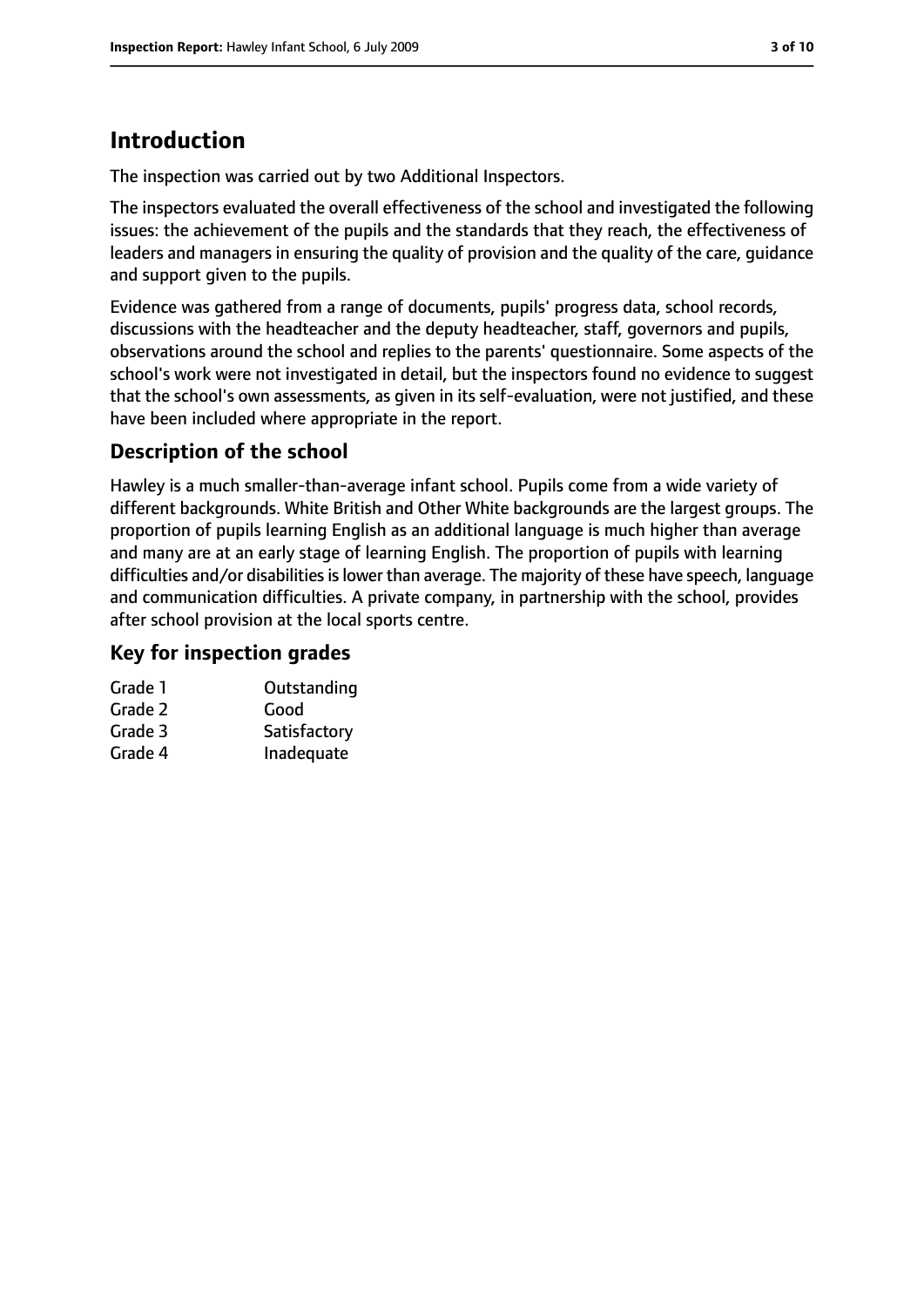# **Introduction**

The inspection was carried out by two Additional Inspectors.

The inspectors evaluated the overall effectiveness of the school and investigated the following issues: the achievement of the pupils and the standards that they reach, the effectiveness of leaders and managers in ensuring the quality of provision and the quality of the care, guidance and support given to the pupils.

Evidence was gathered from a range of documents, pupils' progress data, school records, discussions with the headteacher and the deputy headteacher, staff, governors and pupils, observations around the school and replies to the parents' questionnaire. Some aspects of the school's work were not investigated in detail, but the inspectors found no evidence to suggest that the school's own assessments, as given in its self-evaluation, were not justified, and these have been included where appropriate in the report.

#### **Description of the school**

Hawley is a much smaller-than-average infant school. Pupils come from a wide variety of different backgrounds. White British and Other White backgrounds are the largest groups. The proportion of pupils learning English as an additional language is much higher than average and many are at an early stage of learning English. The proportion of pupils with learning difficulties and/or disabilities is lower than average. The majority of these have speech, language and communication difficulties. A private company, in partnership with the school, provides after school provision at the local sports centre.

#### **Key for inspection grades**

| Grade 1 | Outstanding  |
|---------|--------------|
| Grade 2 | Good         |
| Grade 3 | Satisfactory |

Grade 4 Inadequate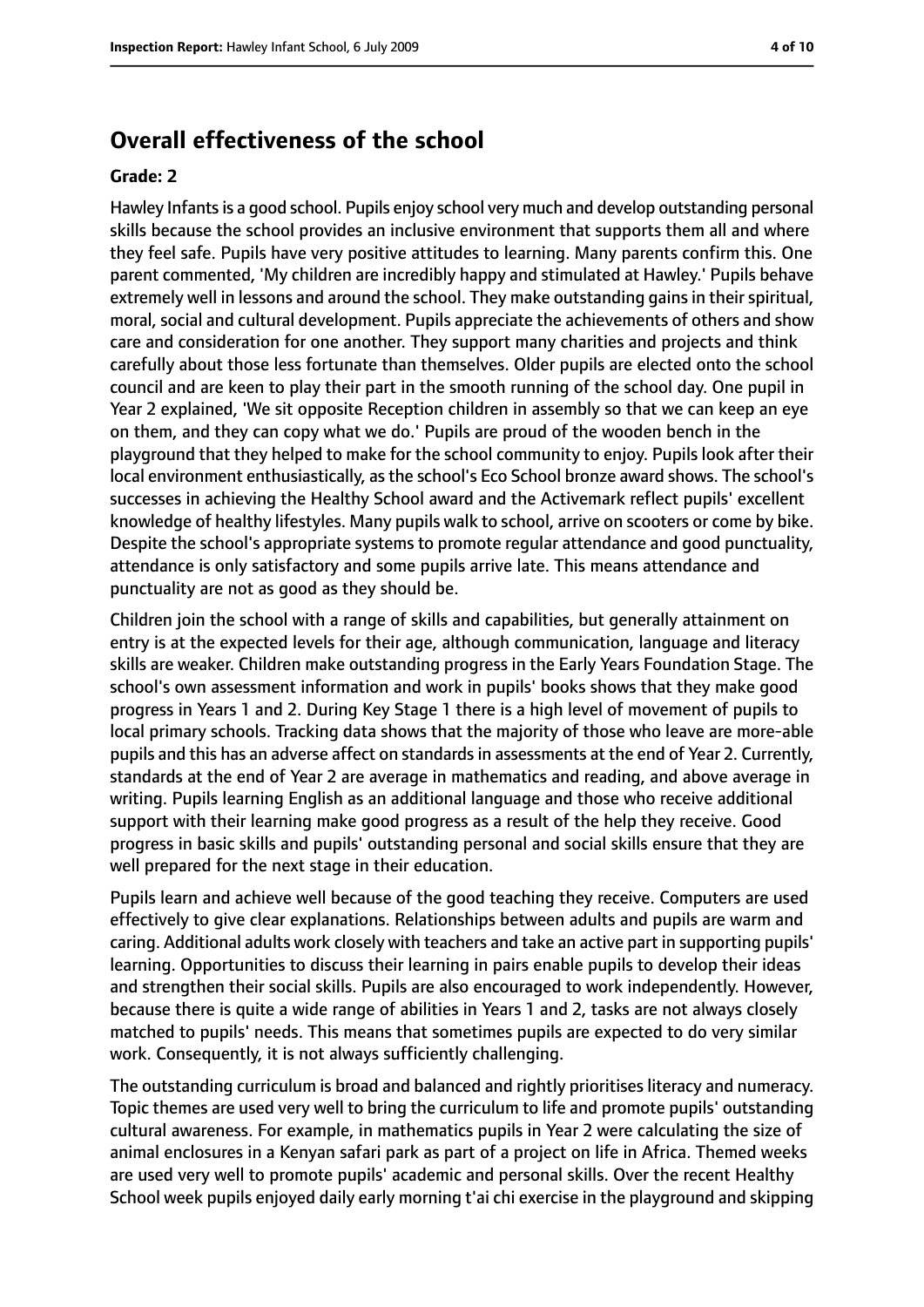#### **Overall effectiveness of the school**

#### **Grade: 2**

Hawley Infantsis a good school. Pupils enjoy school very much and develop outstanding personal skills because the school provides an inclusive environment that supports them all and where they feel safe. Pupils have very positive attitudes to learning. Many parents confirm this. One parent commented, 'My children are incredibly happy and stimulated at Hawley.' Pupils behave extremely well in lessons and around the school. They make outstanding gains in their spiritual, moral, social and cultural development. Pupils appreciate the achievements of others and show care and consideration for one another. They support many charities and projects and think carefully about those less fortunate than themselves. Older pupils are elected onto the school council and are keen to play their part in the smooth running of the school day. One pupil in Year 2 explained, 'We sit opposite Reception children in assembly so that we can keep an eye on them, and they can copy what we do.' Pupils are proud of the wooden bench in the playground that they helped to make for the school community to enjoy. Pupils look after their local environment enthusiastically, as the school's Eco School bronze award shows. The school's successes in achieving the Healthy School award and the Activemark reflect pupils' excellent knowledge of healthy lifestyles. Many pupils walk to school, arrive on scooters or come by bike. Despite the school's appropriate systems to promote regular attendance and good punctuality, attendance is only satisfactory and some pupils arrive late. This means attendance and punctuality are not as good as they should be.

Children join the school with a range of skills and capabilities, but generally attainment on entry is at the expected levels for their age, although communication, language and literacy skills are weaker. Children make outstanding progress in the Early Years Foundation Stage. The school's own assessment information and work in pupils' books shows that they make good progress in Years 1 and 2. During Key Stage 1 there is a high level of movement of pupils to local primary schools. Tracking data shows that the majority of those who leave are more-able pupils and this has an adverse affect on standards in assessments at the end of Year 2. Currently, standards at the end of Year 2 are average in mathematics and reading, and above average in writing. Pupils learning English as an additional language and those who receive additional support with their learning make good progress as a result of the help they receive. Good progress in basic skills and pupils' outstanding personal and social skills ensure that they are well prepared for the next stage in their education.

Pupils learn and achieve well because of the good teaching they receive. Computers are used effectively to give clear explanations. Relationships between adults and pupils are warm and caring. Additional adults work closely with teachers and take an active part in supporting pupils' learning. Opportunities to discuss their learning in pairs enable pupils to develop their ideas and strengthen their social skills. Pupils are also encouraged to work independently. However, because there is quite a wide range of abilities in Years 1 and 2, tasks are not always closely matched to pupils' needs. This means that sometimes pupils are expected to do very similar work. Consequently, it is not always sufficiently challenging.

The outstanding curriculum is broad and balanced and rightly prioritises literacy and numeracy. Topic themes are used very well to bring the curriculum to life and promote pupils' outstanding cultural awareness. For example, in mathematics pupils in Year 2 were calculating the size of animal enclosures in a Kenyan safari park as part of a project on life in Africa. Themed weeks are used very well to promote pupils' academic and personal skills. Over the recent Healthy School week pupils enjoyed daily early morning t'ai chi exercise in the playground and skipping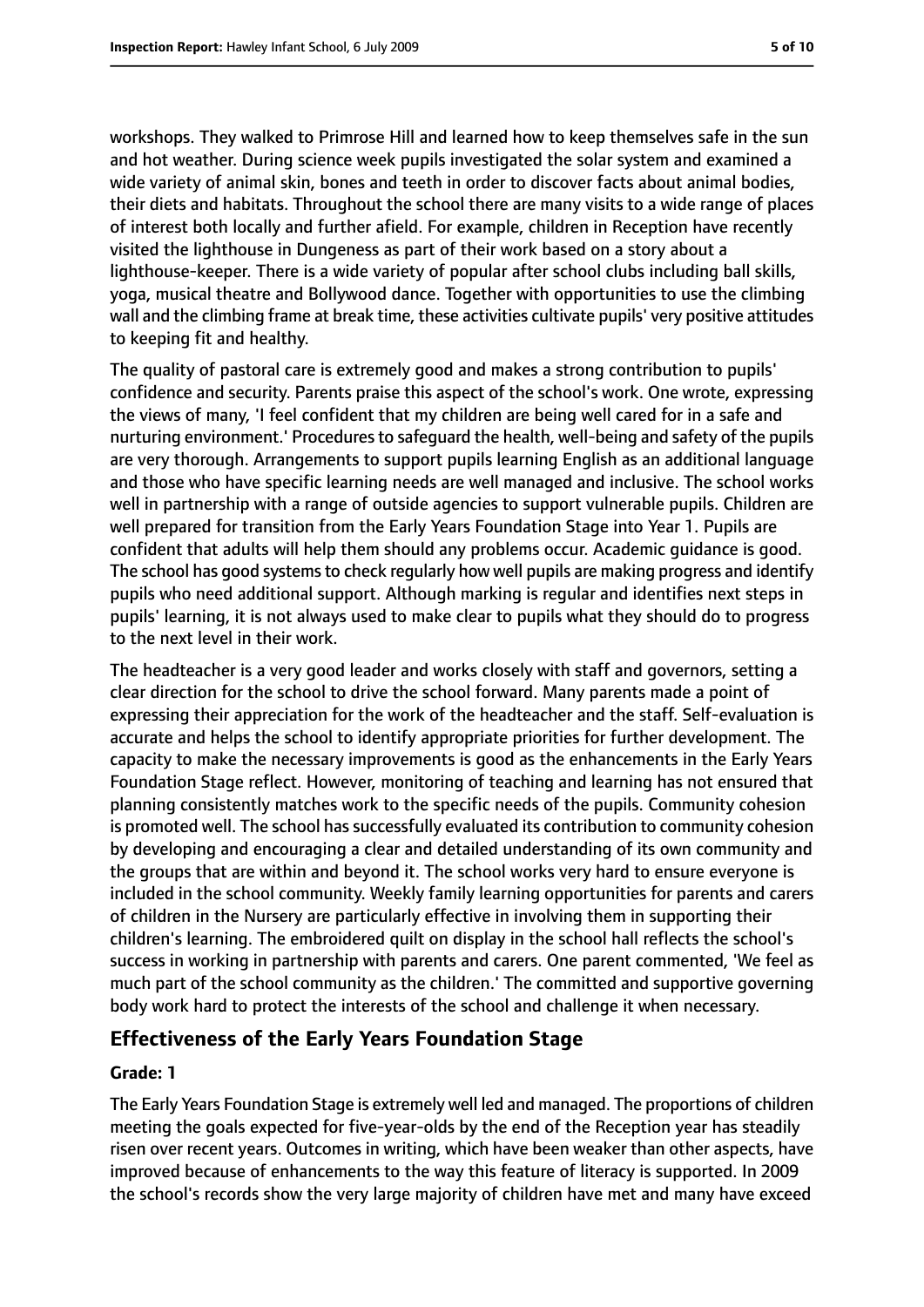workshops. They walked to Primrose Hill and learned how to keep themselves safe in the sun and hot weather. During science week pupils investigated the solar system and examined a wide variety of animal skin, bones and teeth in order to discover facts about animal bodies, their diets and habitats. Throughout the school there are many visits to a wide range of places of interest both locally and further afield. For example, children in Reception have recently visited the lighthouse in Dungeness as part of their work based on a story about a lighthouse-keeper. There is a wide variety of popular after school clubs including ball skills, yoga, musical theatre and Bollywood dance. Together with opportunities to use the climbing wall and the climbing frame at break time, these activities cultivate pupils' very positive attitudes to keeping fit and healthy.

The quality of pastoral care is extremely good and makes a strong contribution to pupils' confidence and security. Parents praise this aspect of the school's work. One wrote, expressing the views of many, 'I feel confident that my children are being well cared for in a safe and nurturing environment.' Procedures to safeguard the health, well-being and safety of the pupils are very thorough. Arrangements to support pupils learning English as an additional language and those who have specific learning needs are well managed and inclusive. The school works well in partnership with a range of outside agencies to support vulnerable pupils. Children are well prepared for transition from the Early Years Foundation Stage into Year 1. Pupils are confident that adults will help them should any problems occur. Academic guidance is good. The school has good systems to check regularly how well pupils are making progress and identify pupils who need additional support. Although marking is regular and identifies next steps in pupils' learning, it is not always used to make clear to pupils what they should do to progress to the next level in their work.

The headteacher is a very good leader and works closely with staff and governors, setting a clear direction for the school to drive the school forward. Many parents made a point of expressing their appreciation for the work of the headteacher and the staff. Self-evaluation is accurate and helps the school to identify appropriate priorities for further development. The capacity to make the necessary improvements is good as the enhancements in the Early Years Foundation Stage reflect. However, monitoring of teaching and learning has not ensured that planning consistently matches work to the specific needs of the pupils. Community cohesion is promoted well. The school has successfully evaluated its contribution to community cohesion by developing and encouraging a clear and detailed understanding of its own community and the groups that are within and beyond it. The school works very hard to ensure everyone is included in the school community. Weekly family learning opportunities for parents and carers of children in the Nursery are particularly effective in involving them in supporting their children's learning. The embroidered quilt on display in the school hall reflects the school's success in working in partnership with parents and carers. One parent commented, 'We feel as much part of the school community as the children.' The committed and supportive governing body work hard to protect the interests of the school and challenge it when necessary.

#### **Effectiveness of the Early Years Foundation Stage**

#### **Grade: 1**

The Early Years Foundation Stage is extremely well led and managed. The proportions of children meeting the goals expected for five-year-olds by the end of the Reception year has steadily risen over recent years. Outcomes in writing, which have been weaker than other aspects, have improved because of enhancements to the way this feature of literacy is supported. In 2009 the school's records show the very large majority of children have met and many have exceed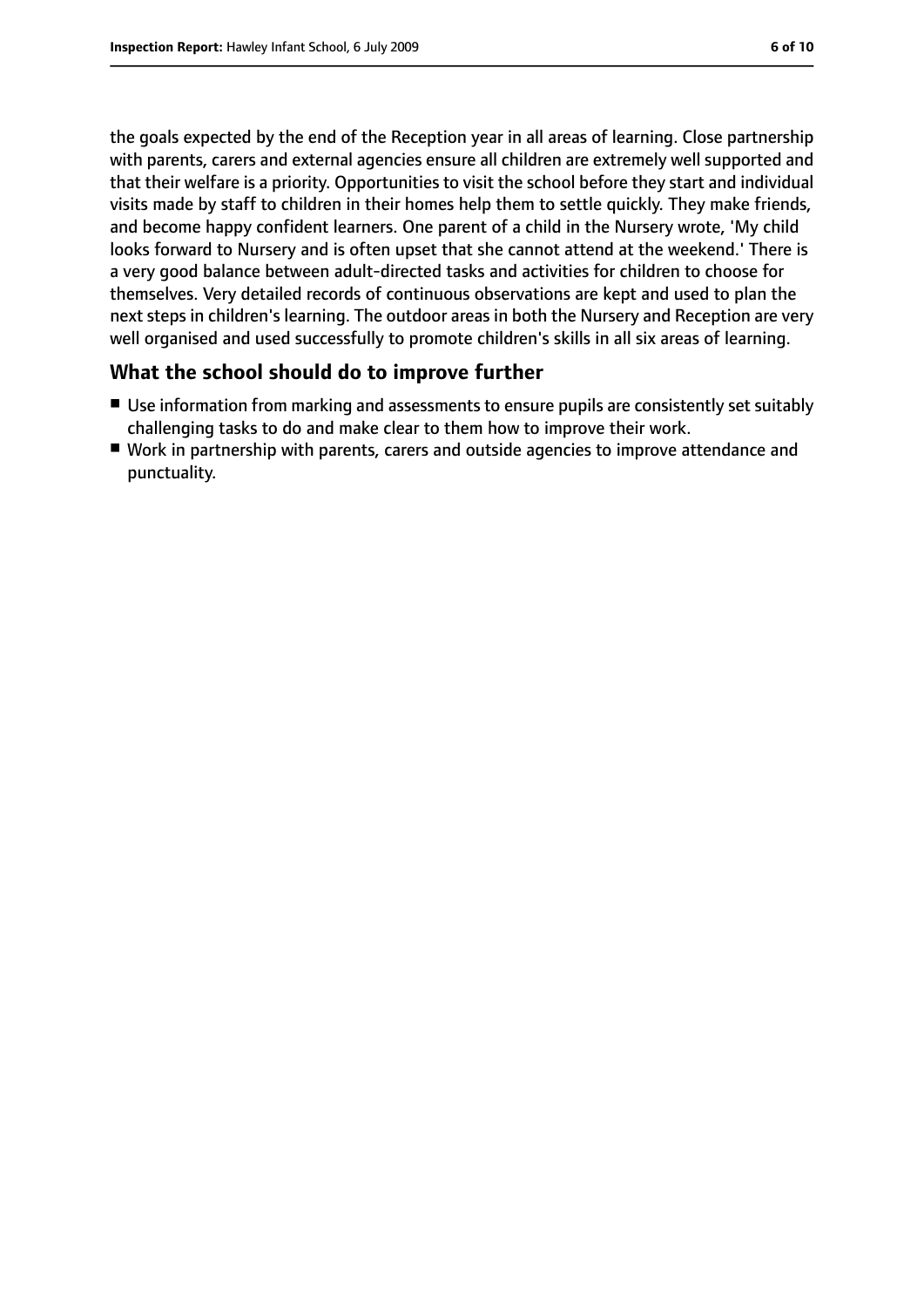the goals expected by the end of the Reception year in all areas of learning. Close partnership with parents, carers and external agencies ensure all children are extremely well supported and that their welfare is a priority. Opportunities to visit the school before they start and individual visits made by staff to children in their homes help them to settle quickly. They make friends, and become happy confident learners. One parent of a child in the Nursery wrote, 'My child looks forward to Nursery and is often upset that she cannot attend at the weekend.' There is a very good balance between adult-directed tasks and activities for children to choose for themselves. Very detailed records of continuous observations are kept and used to plan the next steps in children's learning. The outdoor areas in both the Nursery and Reception are very well organised and used successfully to promote children's skills in all six areas of learning.

#### **What the school should do to improve further**

- Use information from marking and assessments to ensure pupils are consistently set suitably challenging tasks to do and make clear to them how to improve their work.
- Work in partnership with parents, carers and outside agencies to improve attendance and punctuality.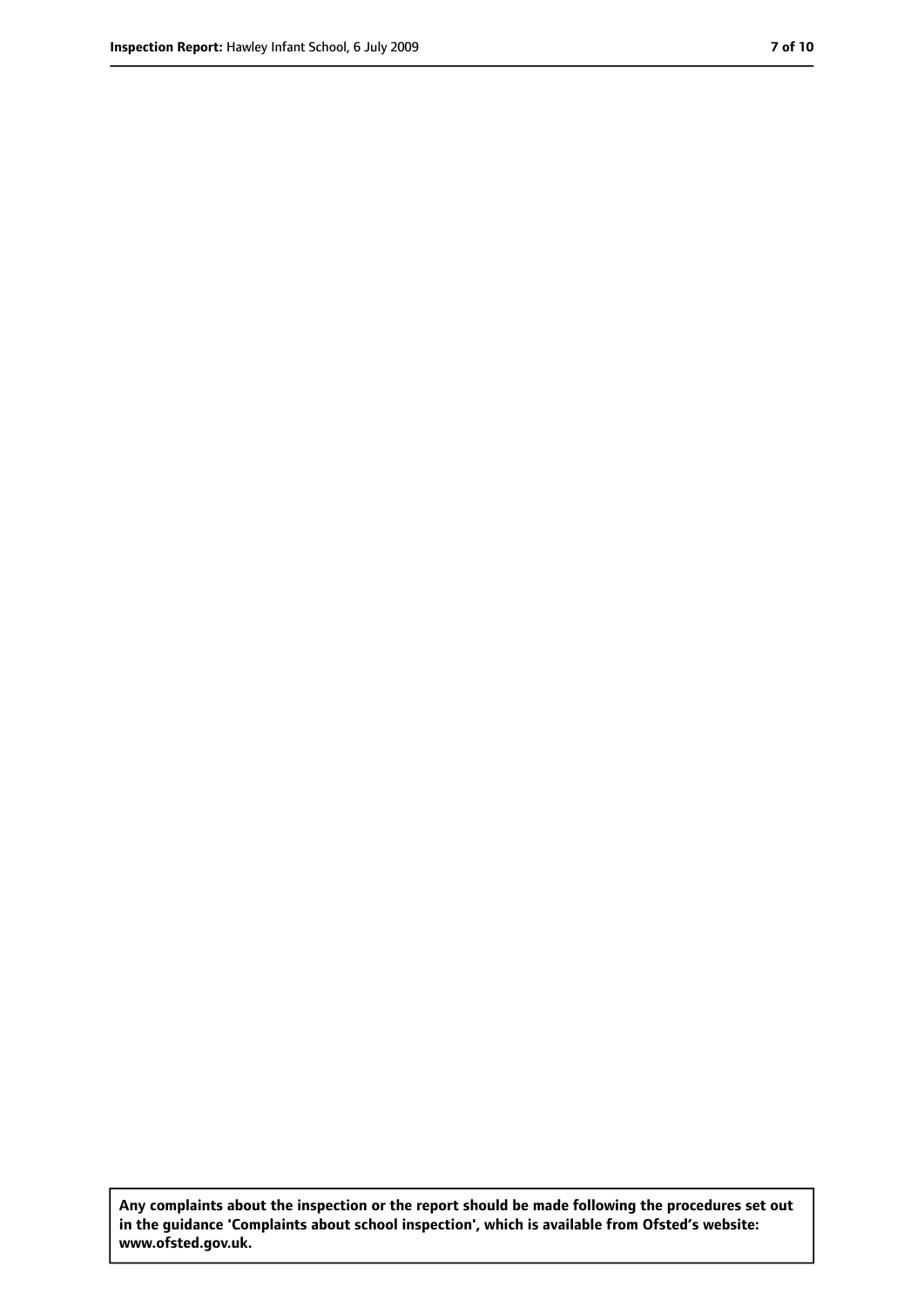**Any complaints about the inspection or the report should be made following the procedures set out in the guidance 'Complaints about school inspection', which is available from Ofsted's website: www.ofsted.gov.uk.**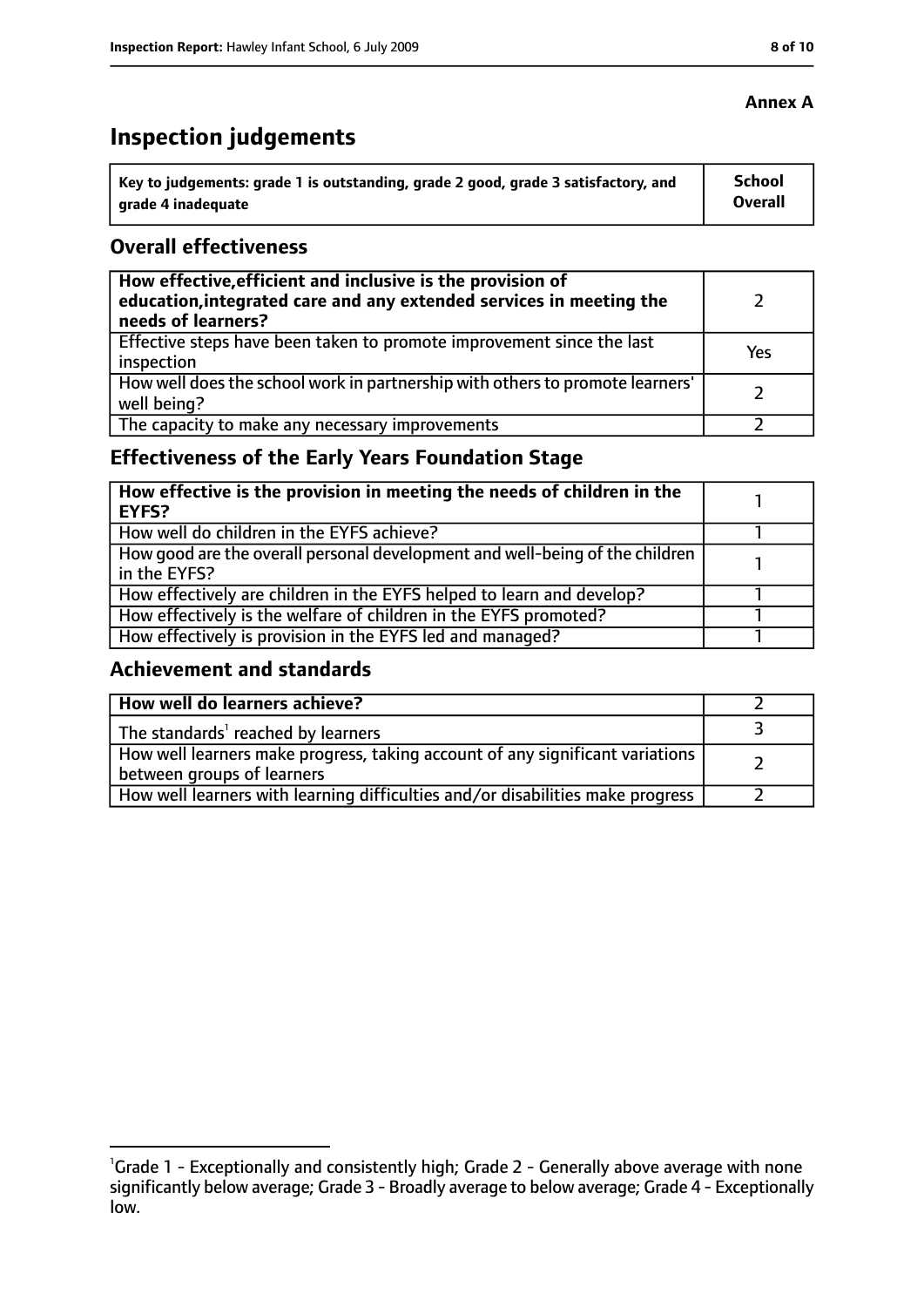# **Inspection judgements**

| $^{\prime}$ Key to judgements: grade 1 is outstanding, grade 2 good, grade 3 satisfactory, and | <b>School</b> |
|------------------------------------------------------------------------------------------------|---------------|
| arade 4 inadeguate                                                                             | Overall       |

#### **Overall effectiveness**

| How effective, efficient and inclusive is the provision of<br>education, integrated care and any extended services in meeting the<br>needs of learners? |     |
|---------------------------------------------------------------------------------------------------------------------------------------------------------|-----|
| Effective steps have been taken to promote improvement since the last<br>inspection                                                                     | Yes |
| How well does the school work in partnership with others to promote learners'<br>well being?                                                            |     |
| The capacity to make any necessary improvements                                                                                                         |     |

## **Effectiveness of the Early Years Foundation Stage**

| How effective is the provision in meeting the needs of children in the<br>l EYFS?            |  |
|----------------------------------------------------------------------------------------------|--|
| How well do children in the EYFS achieve?                                                    |  |
| How good are the overall personal development and well-being of the children<br>in the EYFS? |  |
| How effectively are children in the EYFS helped to learn and develop?                        |  |
| How effectively is the welfare of children in the EYFS promoted?                             |  |
| How effectively is provision in the EYFS led and managed?                                    |  |

#### **Achievement and standards**

| How well do learners achieve?                                                  |  |
|--------------------------------------------------------------------------------|--|
| The standards <sup>1</sup> reached by learners                                 |  |
| How well learners make progress, taking account of any significant variations  |  |
| between groups of learners                                                     |  |
| How well learners with learning difficulties and/or disabilities make progress |  |

#### **Annex A**

<sup>&</sup>lt;sup>1</sup>Grade 1 - Exceptionally and consistently high; Grade 2 - Generally above average with none significantly below average; Grade 3 - Broadly average to below average; Grade 4 - Exceptionally low.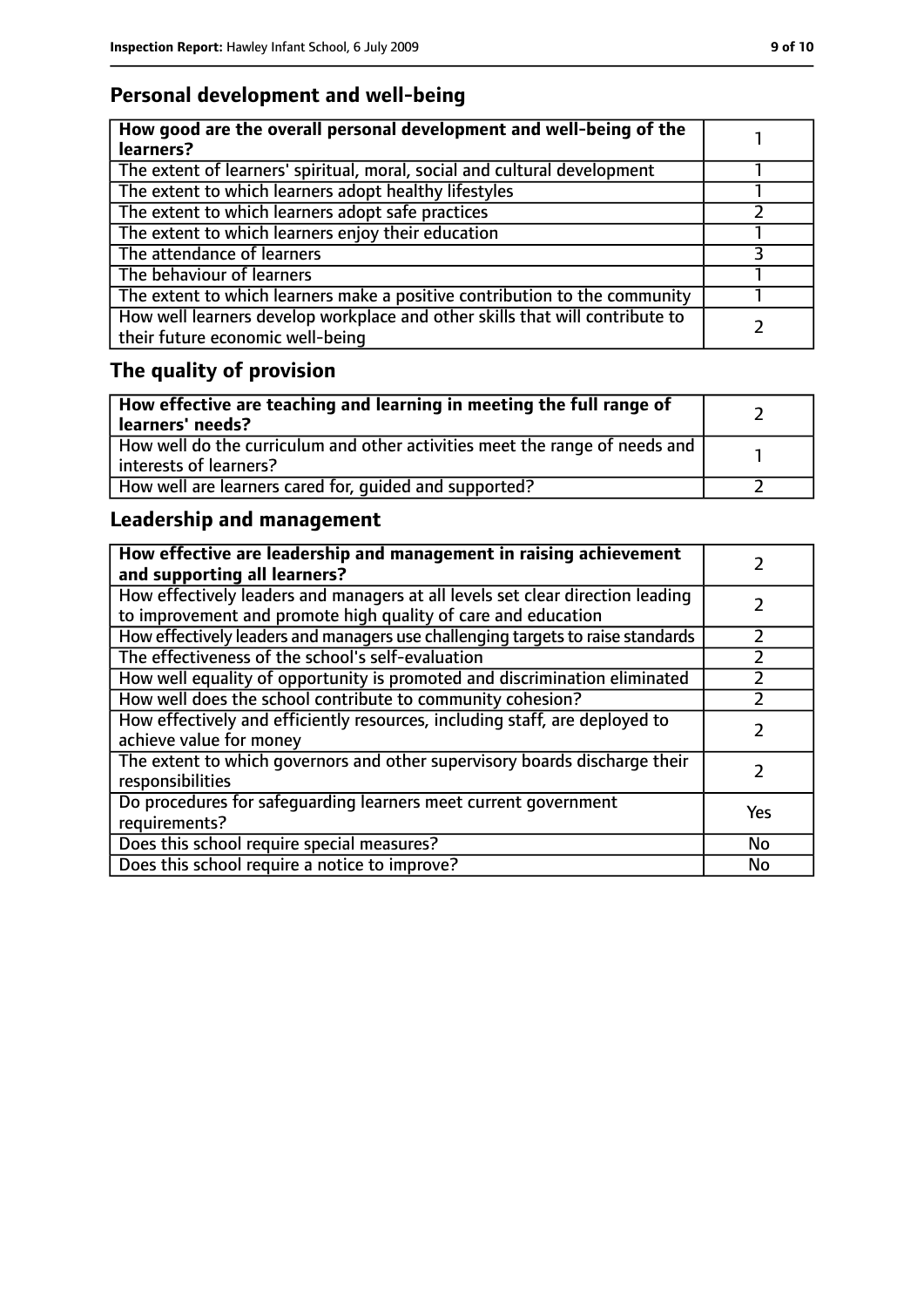## **Personal development and well-being**

| How good are the overall personal development and well-being of the<br>learners?                                 |  |
|------------------------------------------------------------------------------------------------------------------|--|
| The extent of learners' spiritual, moral, social and cultural development                                        |  |
| The extent to which learners adopt healthy lifestyles                                                            |  |
| The extent to which learners adopt safe practices                                                                |  |
| The extent to which learners enjoy their education                                                               |  |
| The attendance of learners                                                                                       |  |
| The behaviour of learners                                                                                        |  |
| The extent to which learners make a positive contribution to the community                                       |  |
| How well learners develop workplace and other skills that will contribute to<br>their future economic well-being |  |

# **The quality of provision**

| How effective are teaching and learning in meeting the full range of<br>learners' needs?              |  |
|-------------------------------------------------------------------------------------------------------|--|
| How well do the curriculum and other activities meet the range of needs and<br>interests of learners? |  |
| How well are learners cared for, quided and supported?                                                |  |

## **Leadership and management**

| How effective are leadership and management in raising achievement<br>and supporting all learners?                                              |           |
|-------------------------------------------------------------------------------------------------------------------------------------------------|-----------|
| How effectively leaders and managers at all levels set clear direction leading<br>to improvement and promote high quality of care and education |           |
| How effectively leaders and managers use challenging targets to raise standards                                                                 |           |
| The effectiveness of the school's self-evaluation                                                                                               |           |
| How well equality of opportunity is promoted and discrimination eliminated                                                                      |           |
| How well does the school contribute to community cohesion?                                                                                      |           |
| How effectively and efficiently resources, including staff, are deployed to<br>achieve value for money                                          |           |
| The extent to which governors and other supervisory boards discharge their<br>responsibilities                                                  |           |
| Do procedures for safequarding learners meet current government<br>requirements?                                                                | Yes       |
| Does this school require special measures?                                                                                                      | No        |
| Does this school require a notice to improve?                                                                                                   | <b>No</b> |